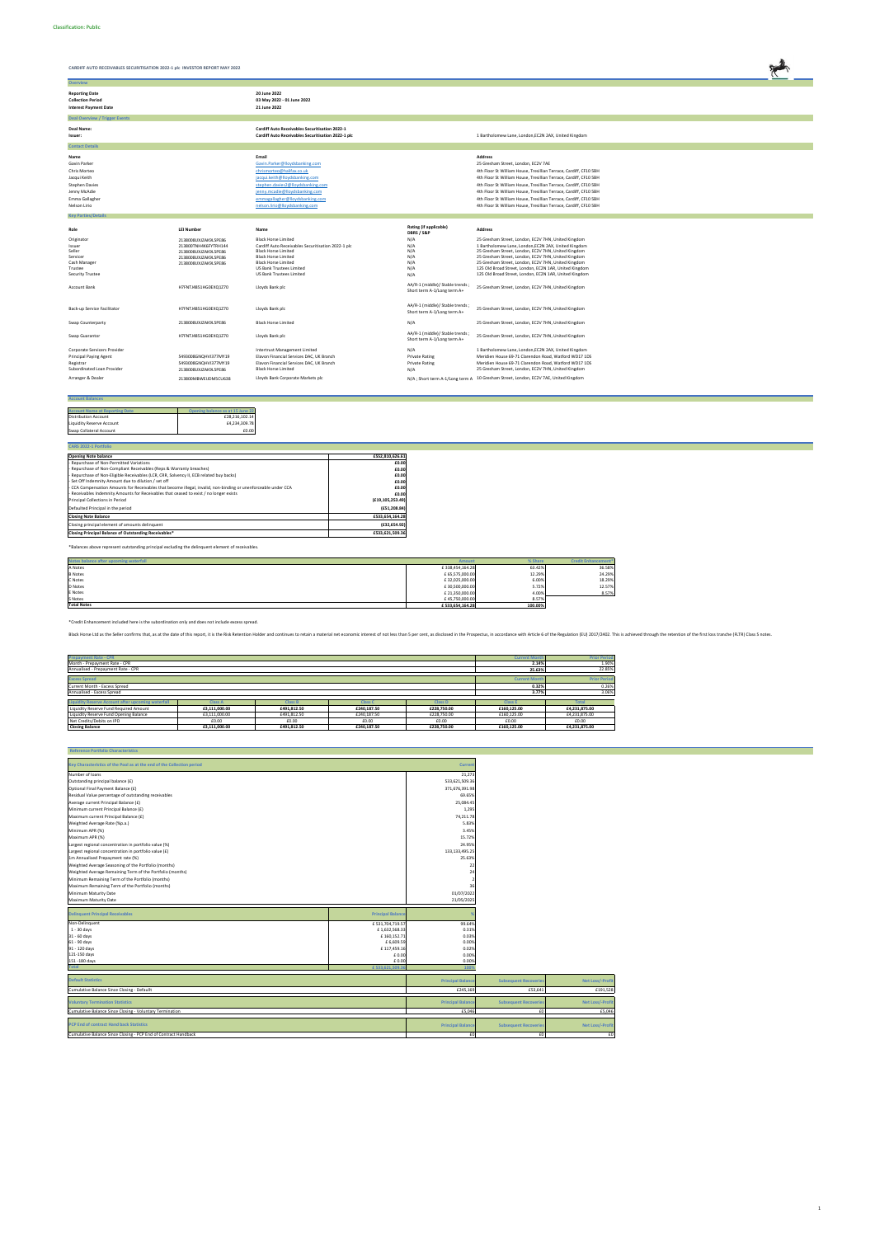

| Role                          | <b>LEI Number</b>    | Name                                               | Rating (if applicable)<br>DBRS / S&P                           | <b>Address</b>                                                                       |
|-------------------------------|----------------------|----------------------------------------------------|----------------------------------------------------------------|--------------------------------------------------------------------------------------|
| Originator                    | 2138008UXJZAK9L5PE86 | <b>Black Horse Limited</b>                         | N/A                                                            | 25 Gresham Street, London, EC2V 7HN, United Kingdom                                  |
| Issuer                        | 213800TNH4K6FYTRH144 | Cardiff Auto Receivables Securitisation 2022-1 plc | N/A                                                            | 1 Bartholomew Lane, London, EC2N 2AX, United Kingdom                                 |
| Seller                        | 2138008UXJZAK9L5PE86 | <b>Black Horse Limited</b>                         | N/A                                                            | 25 Gresham Street, London, EC2V 7HN, United Kingdom                                  |
| Servicer                      | 2138008UXJZAK9L5PE86 | <b>Black Horse Limited</b>                         | N/A                                                            | 25 Gresham Street, London, EC2V 7HN, United Kingdom                                  |
| Cash Manager                  | 2138008UXJZAK9L5PE86 | <b>Black Horse Limited</b>                         | N/A                                                            | 25 Gresham Street, London, EC2V 7HN, United Kingdom                                  |
| Trustee                       |                      | US Bank Trustees Limited                           | N/A                                                            | 125 Old Broad Street, London, EC2N 1AR, United Kingdom                               |
| <b>Security Trustee</b>       |                      | US Bank Trustees Limited                           | N/A                                                            | 125 Old Broad Street, London, EC2N 1AR, United Kingdom                               |
| <b>Account Bank</b>           | H7FNTJ4851HG0EXQ1Z70 | Lloyds Bank plc                                    | AA/R-1 (middle)/ Stable trends;<br>Short term A-1/Long term A+ | 25 Gresham Street, London, EC2V 7HN, United Kingdom                                  |
| Back-up Service Facilitator   | H7FNTJ4851HG0EXQ1Z70 | Lloyds Bank plc                                    | AA/R-1 (middle)/ Stable trends<br>Short term A-1/Long term A+  | 25 Gresham Street, London, EC2V 7HN, United Kingdom                                  |
| Swap Counterparty             | 2138008UXJZAK9L5PE86 | <b>Black Horse Limited</b>                         | N/A                                                            | 25 Gresham Street, London, EC2V 7HN, United Kingdom                                  |
| Swap Guarantor                | H7FNTJ4851HG0EXQ1Z70 | Lloyds Bank plc                                    | AA/R-1 (middle)/ Stable trends;<br>Short term A-1/Long term A+ | 25 Gresham Street, London, EC2V 7HN, United Kingdom                                  |
| Corporate Servicers Provider  |                      | Intertrust Management Limited                      | N/A                                                            | 1 Bartholomew Lane, London, EC2N 2AX, United Kingdom                                 |
| <b>Principal Paying Agent</b> | 5493008GNOHVI377MY19 | Elavon Financial Services DAC, UK Branch           | <b>Private Rating</b>                                          | Meridien House 69-71 Clarendon Road, Watford WD17 1DS                                |
| Registrar                     | 5493008GNOHVI377MY19 | Elavon Financial Services DAC, UK Branch           | <b>Private Rating</b>                                          | Meridien House 69-71 Clarendon Road, Watford WD17 1DS                                |
| Subordinated Loan Provider    | 2138008UXJZAK9L5PE86 | <b>Black Horse Limited</b>                         | N/A                                                            | 25 Gresham Street, London, EC2V 7HN, United Kingdom                                  |
| Arranger & Dealer             | 213800MBWEIJDM5CU638 | Lloyds Bank Corporate Markets plc                  |                                                                | N/A ; Short term A-1/Long term A 10 Gresham Street, London, EC2V 7AE, United Kingdom |

| <b>Account Balances</b>               |                                  |
|---------------------------------------|----------------------------------|
|                                       |                                  |
| <b>Account Name at Reporting Date</b> | Opening balance as at 15 June 22 |
| <b>Distribution Account</b>           | £28,216,102.14                   |
| Liquidity Reserve Account             | £4,234,309.78                    |
| Swap Collateral Account               | £0.00                            |

| CARS 2022-1 Portfolio                                                                                           |                    |
|-----------------------------------------------------------------------------------------------------------------|--------------------|
| <b>Opening Note balance</b>                                                                                     | £552.810.626.61    |
| - Repurchase of Non-Permitted Variations                                                                        | £0.00              |
| - Repurchase of Non-Compliant Receivables (Reps & Warranty breaches)                                            | £0.00              |
| - Repurchase of Non-Eligible Receivables (LCR, CRR, Solvency II, ECB related buy backs)                         | £0.00              |
| - Set Off Indemnity Amount due to dilution / set off                                                            | £0.00              |
| - CCA Compensation Amounts for Receivables that become illegal, invalid, non-binding or unenforceable under CCA | £0.00              |
| - Receivables Indemnity Amounts for Receivables that ceased to exist / no longer exists                         | £0.00              |
| Principal Collections in Period                                                                                 | (E19, 105, 253.49) |
| Defaulted Principal in the period                                                                               | (E51, 208.84)      |
| <b>Closing Note Balance</b>                                                                                     | £533,654,164.28    |
| Closing principal element of amounts delinquent                                                                 | (E32, 654.92)      |
| Closing Principal Balance of Outstanding Receivables*                                                           | £533,621,509.36    |

\*Balances above represent outstanding principal excluding the delinquent element of receivables.

| Notes balance after upcoming waterfall | <b>Amount</b>   | % Share | <b>Credit Enhancement*</b> |
|----------------------------------------|-----------------|---------|----------------------------|
| A Notes                                | £338,454,164.28 | 63.42%  | 36.58%                     |
| <b>B</b> Notes                         | £ 65,575,000.00 | 12.29%  | 24.29%                     |
| C Notes                                | £32,025,000.00  | 6.00%   | 18.29%                     |
| <b>D</b> Notes                         | £30,500,000.00  | 5.72%   | 12.57%                     |
| E Notes                                | £21,350,000.00  | 4.00%   | 8.57%                      |
| S Notes                                | £45,750,000.00  | 8.57%   |                            |
| <b>Total Notes</b>                     | £533,654,164.28 | 100.00% |                            |

| <b>Prepayment Rate - CPR</b>                                                                         |                |                |                |                |                | <b>Prior Period</b> |  |
|------------------------------------------------------------------------------------------------------|----------------|----------------|----------------|----------------|----------------|---------------------|--|
| Month - Prepayment Rate - CPR                                                                        |                |                |                |                |                | 1.90%               |  |
| Annualised - Prepayment Rate - CPR                                                                   |                |                |                |                | 25.63%         | 22.85%              |  |
|                                                                                                      |                |                |                |                |                |                     |  |
| <b>Excess Spread</b>                                                                                 |                |                |                |                |                | <b>Prior Period</b> |  |
| Current Month - Excess Spread                                                                        |                |                |                |                | 0.32%          | 0.26%               |  |
| Annualised - Excess Spread                                                                           |                |                |                |                | 3.77%          | 3.06%               |  |
|                                                                                                      |                |                |                |                |                |                     |  |
| <b>Liquidity Reserve Account after upcoming waterfall</b>                                            | <b>Class A</b> | <b>Class B</b> | <b>Class C</b> | <b>Class D</b> | <b>Class E</b> | <b>Total</b>        |  |
| Liquidity Reserve Fund Required Amount                                                               | £3,111,000.00  | £491.812.50    | £240.187.50    | £228,750.00    | £160,125.00    | £4,231,875.00       |  |
| Liquidity Reserve Fund Opening Balance<br>£3,111,000.00<br>£491.812.50<br>£240.187.50<br>£228,750.00 |                |                |                |                |                | £4,231,875.00       |  |
| Net Credits/Debits on IPD<br>£0.00<br>£0.00<br>£0.00<br>£0.00                                        |                |                |                |                |                | £0.00               |  |
| <b>Closing Balance</b>                                                                               | £3.111.000.00  | £491.812.50    | £240.187.50    | £228,750.00    | £160,125.00    | £4.231.875.00       |  |

 **Reference Portfolio Characteristics**

| Neiereille Portiono Grafacteristics                                    |                          |                  |
|------------------------------------------------------------------------|--------------------------|------------------|
| Key Characteristics of the Pool as at the end of the Collection period |                          | <b>Current</b>   |
| Number of loans                                                        |                          | 21,273           |
| Outstanding principal balance (£)                                      |                          | 533,621,509.36   |
| Optional Final Payment Balance (£)                                     |                          | 371,676,391.98   |
| Residual Value percentage of outstanding receivables                   |                          | 69.65%           |
| Average current Principal Balance (£)                                  |                          | 25.084.45        |
| Minimum current Principal Balance (£)                                  |                          | 1,295            |
| Maximum current Principal Balance (£)                                  |                          | 74,211.78        |
| Weighted Average Rate (%p.a.)                                          |                          | 5.83%            |
| Minimum APR (%)                                                        |                          | 3.45%            |
| Maximum APR (%)                                                        |                          | 15.72%           |
| Largest regional concentration in portfolio value (%)                  |                          | 24.95%           |
| Largest regional concentration in portfolio value (£)                  |                          | 133, 133, 495.25 |
| 1m Annualised Prepayment rate (%)                                      |                          | 25.63%           |
| Weighted Average Seasoning of the Portfolio (months)                   |                          | 22               |
| Weighted Average Remaining Term of the Portfolio (months)              |                          | 24               |
| Minimum Remaining Term of the Portfolio (months)                       |                          |                  |
| Maximum Remaining Term of the Portfolio (months)                       |                          | 36               |
| Minimum Maturity Date                                                  |                          | 01/07/2022       |
| Maximum Maturity Date                                                  |                          | 21/05/2025       |
|                                                                        |                          |                  |
| <b>Delinquent Principal Receivables</b>                                | <b>Principal Balance</b> | %                |
| Non-Delinquent                                                         | £531,704,719.57          | 99.64%           |
| $1 - 30$ days                                                          | £1,632,568.33            | 0.31%            |
| .                                                                      | - - - - - - - -          | - ----           |

| <b>Tota</b>    | £533,621,509.36 | 1009  |
|----------------|-----------------|-------|
| 151 - 180 days | £0.00           | 0.00% |
| 121-150 days   | £0.00           | 0.00% |
| 91 - 120 days  | £117,459.16     | 0.02% |
| 61 - 90 days   | £ 6,609.59      | 0.00% |
| 31 - 60 days   | £160,152.71     | 0.03% |

| <b>Default Statistics</b><br>Cumulative Balance Since Closing - Defaullt                            | <b>Principal Balance</b><br>£245,169 | <b>Subsequent Recoveries</b><br>£53,641 | Net Loss/-Profit<br>£191,528 |
|-----------------------------------------------------------------------------------------------------|--------------------------------------|-----------------------------------------|------------------------------|
| <b>Voluntary Termination Statistics</b><br>Cumulative Balance Since Closing - Voluntary Termination | <b>Principal Balance</b><br>£5.046   | <b>Subsequent Recoveries</b>            | Net Loss/-Profit<br>£5.046   |
| <b>PCP End of contract Hand back Statistics</b>                                                     | <b>Principal Balance</b>             | <b>Subsequent Recoveries</b>            | Net Loss/-Profit             |
| Cumulative Balance Since Closing - PCP End of Contract Handback                                     |                                      |                                         | £C                           |

\*Credit Enhancement included here is the subordination only and does not include excess spread.

Black Horse Ltd as the Seller confirms that, as at the date of this report, it is the Risk Retention Holder and continues to retain a material net economic interest of not less than 5 per cent, as disclosed in the Prospect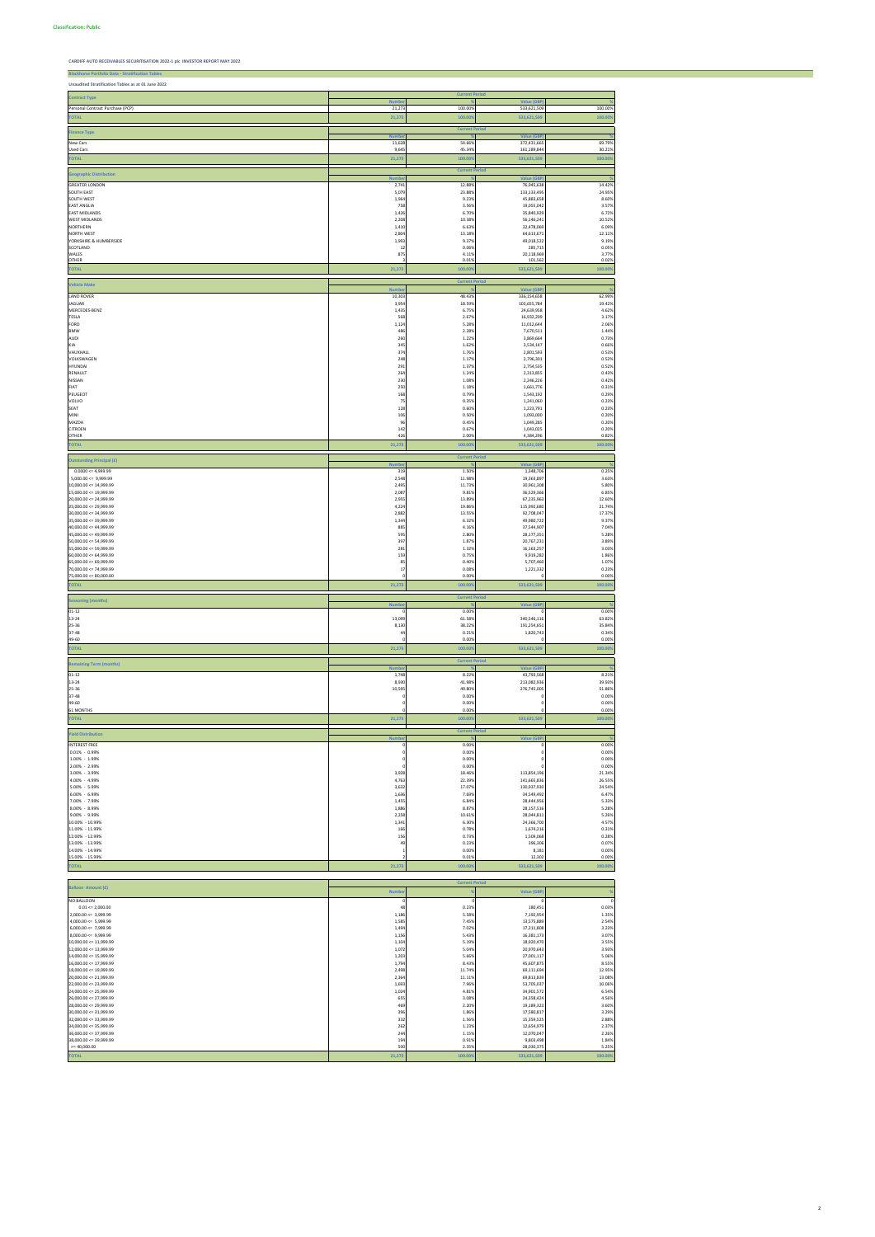**Blackhorse Portfolio Data - Stratif** 

**CARDIFF AUTO RECEIVABLES SECURITISATION 2022-1 plc INVESTOR REPORT MAY 2022**

| Unaudited Stratification Tables as at 01 June 2022   |                        |                       |                                 |                  |
|------------------------------------------------------|------------------------|-----------------------|---------------------------------|------------------|
| <b>Contract Type</b>                                 | <b>Numbe</b>           | <b>Current Period</b> | <b>Value (GBF</b>               |                  |
| Personal Contract Purchase (PCP)                     | 21,27                  | 100.00%               | 533,621,509                     | 100.00%          |
| <b>TOTAL</b>                                         | 21,273                 | 100.009               | 533,621,509                     | 100.00%          |
| <b>Finance Type</b>                                  | <b>Numbe</b>           | <b>Current Period</b> | Value (GB)                      |                  |
| New Cars<br><b>Used Cars</b>                         | 11,621<br>9,64         | 54.66%<br>45.34%      | 372,431,665<br>161,189,844      | 69.79%<br>30.21% |
| <b>TOTAL</b>                                         | 21,273                 | 100.009               | 533,621,509                     | 100.00%          |
| <b>Geographic Distribution</b>                       |                        | <b>Current Period</b> |                                 |                  |
| <b>GREATER LONDON</b>                                | <b>Numbe</b><br>2,74   | 12.88%                | <b>Value (GBF</b><br>76,945,638 | 14.42%           |
| SOUTH EAST                                           | 5,07                   | 23.88%                | 133,133,495                     | 24.95%           |
| SOUTH WEST<br><b>EAST ANGLIA</b>                     | 1,96<br>75             | 9.23%<br>3.56%        | 45,883,658<br>19,055,042        | 8.60%<br>3.57%   |
| <b>EAST MIDLANDS</b><br><b>WEST MIDLANDS</b>         | 1,426<br>2,208         | 6.70%<br>10.38%       | 35,840,929<br>56,146,241        | 6.72%<br>10.52%  |
| <b>NORTHERN</b>                                      | 1,41                   | 6.63%                 | 32,478,069                      | 6.09%            |
| <b>NORTH WEST</b><br>YORKSHIRE & HUMBERSIDE          | 2,80<br>1,99           | 13.18%<br>9.37%       | 64,613,671<br>49,018,522        | 12.11%<br>9.19%  |
| SCOTLAND<br>WALES                                    | $\mathbf{1}$<br>875    | 0.06%<br>4.11%        | 285,715<br>20,118,969           | 0.05%<br>3.77%   |
| OTHER                                                |                        | 0.01%                 | 101,562                         | 0.02%            |
| <b>TOTAL</b>                                         | 21,273                 | 100.00                | 533,621,509                     | 100.009          |
| <b>Vehicle Make</b>                                  | <b>Number</b>          | <b>Current Period</b> | <b>Value (GBF</b>               |                  |
| <b>LAND ROVER</b>                                    | 10,30                  | 48.43%                | 336,154,658                     | 62.99%           |
| <b>JAGUAR</b><br>MERCEDES-BENZ                       | 3,95<br>1,43           | 18.59%<br>6.75%       | 103,655,784<br>24,639,958       | 19.42%<br>4.62%  |
| TESLA                                                | 56                     | 2.67%                 | 16,932,209                      | 3.17%            |
| FORD<br><b>BMW</b>                                   | 1,12<br>486            | 5.28%<br>2.28%        | 11,012,644<br>7,670,511         | 2.06%<br>1.44%   |
| <b>AUDI</b><br>KIA                                   | 260<br>34              | 1.22%<br>1.62%        | 3,869,664<br>3,534,147          | 0.73%<br>0.66%   |
| VAUXHALL                                             | 37 <sub>4</sub>        | 1.76%                 | 2,801,593                       | 0.53%            |
| VOLKSWAGEN<br>HYUNDAI                                | 248<br>29              | 1.17%<br>1.37%        | 2,796,301<br>2,754,535          | 0.52%<br>0.52%   |
| RENAULT<br>NISSAN                                    | $26 -$<br>230          | 1.24%<br>1.08%        | 2,313,855<br>2,246,226          | 0.43%<br>0.42%   |
| FIAT                                                 | 250                    | 1.18%                 | 1,661,776                       | 0.31%            |
| PEUGEOT<br>VOLVO                                     | 168<br>75              | 0.79%<br>0.35%        | 1,543,192<br>1,241,060          | 0.29%<br>0.23%   |
| SEAT<br>MINI                                         | 121                    | 0.60%                 | 1,223,791                       | 0.23%<br>0.20%   |
| MAZDA                                                | 106<br>96              | 0.50%<br>0.45%        | 1,093,000<br>1,049,285          | 0.20%            |
| <b>CITROEN</b><br>OTHER                              | 142<br>42 <sub>0</sub> | 0.67%<br>2.00%        | 1,043,025<br>4,384,296          | 0.20%<br>0.82%   |
| <b>TOTAL</b>                                         | 21,273                 | 100.009               | 533,621,509                     | 100.00%          |
| <b>Outstanding Principal (£)</b>                     |                        | <b>Current Period</b> |                                 |                  |
| $0.0000 \le 4,999.99$                                | <b>Numbe</b><br>319    | 1.50%                 | <b>Value (GBP</b><br>1,348,706  | 0.25%            |
| $5,000.00 \leq 9,999.99$                             | 2,54                   | 11.98%                | 19,363,897                      | 3.63%            |
| $10,000.00 \leq 14,999.99$<br>15,000.00 <= 19,999.99 | 2,49!<br>2,08          | 11.73%<br>9.81%       | 30,961,308<br>36,529,366        | 5.80%<br>6.85%   |
| 20,000.00 <= 24,999.99<br>$25,000.00 \leq 29,999.99$ | 2,95<br>4,22           | 13.89%<br>19.86%      | 67,235,963<br>115,992,680       | 12.60%<br>21.74% |
| 30,000.00 <= 34,999.99                               | 2,88                   | 13.55%                | 92,708,047<br>49,980,722        | 17.37%<br>9.37%  |
| 35,000.00 <= 39,999.99<br>$40,000.00 \le 44,999.99$  | 1,34<br>88             | 6.32%<br>4.16%        | 37,544,907                      | 7.04%            |
| 45,000.00 <= 49,999.99<br>50,000.00 <= 54,999.99     | 595<br>397             | 2.80%<br>1.87%        | 28,177,351<br>20,767,231        | 5.28%<br>3.89%   |
| 55,000.00 <= 59,999.99                               | 281                    | 1.32%                 | 16,163,257                      | 3.03%            |
| $60,000.00 \le 64,999.99$<br>65,000.00 <= 69,999.99  | 159<br>85              | 0.75%<br>0.40%        | 9,919,282<br>5,707,460          | 1.86%<br>1.07%   |
| 70,000.00 <= 74,999.99<br>$75,000.00 \le 80,000.00$  | 17                     | 0.08%<br>0.00%        | 1,221,332                       | 0.23%<br>0.00%   |
| <b>TOTAL</b>                                         | 21,273                 | 100.009               | 533,621,509                     | 100.00%          |
| <b>Seasoning (months)</b>                            |                        | <b>Current Period</b> |                                 |                  |
| $01 - 12$                                            | <b>Numbe</b>           | 0.00%                 | <b>Value (GBP</b>               | 0.00%            |
| $13 - 24$<br>25-36                                   | 13,099<br>8,130        | 61.58%<br>38.22%      | 340,546,116<br>191,254,651      | 63.82%<br>35.84% |
| 37-48                                                | 4 <sub>1</sub>         | 0.21%                 | 1,820,743                       | 0.34%            |
| 49-60<br><b>TOTAL</b>                                | 21,273                 | 0.00%<br>100.00%      | 533,621,509                     | 0.00%<br>100.00% |
|                                                      |                        | <b>Current Period</b> |                                 |                  |
| <b>Remaining Term (months)</b>                       | <b>Numbe</b>           |                       | <b>Value (GBF</b>               |                  |
| $01 - 12$<br>$13 - 24$                               | 1,74<br>8,93           | 8.22%<br>41.98%       | 43,793,568<br>213,082,936       | 8.21%<br>39.93%  |
| 25-36<br>37-48                                       | 10,59                  | 49.80%<br>0.00%       | 276,745,005                     | 51.86%<br>0.00%  |
| 49-60                                                |                        | 0.00%                 |                                 | 0.00%            |
| 61 MONTHS<br><b>TOTAL</b>                            | 21,273                 | 0.00%<br>100.00%      | 533,621,509                     | 0.00%<br>100.00% |
|                                                      |                        | <b>Current Period</b> |                                 |                  |
| <b>Yield Distribution</b>                            | <b>Numbe</b>           |                       | Value (GBP                      |                  |
| INTEREST FREE<br>$0.01\% - 0.99\%$                   |                        | 0.00%<br>0.00%        |                                 | 0.00%<br>0.00%   |
| 1.00% - 1.99%<br>2.00% - 2.99%                       |                        | 0.00%<br>0.00%        |                                 | 0.00%<br>0.00%   |
| 3.00% - 3.99%                                        | 3,928                  | 18.46%                | 113,854,196                     | 21.34%           |
| 4.00% - 4.99%<br>5.00% - 5.99%                       | 4,763<br>3,63          | 22.39%<br>17.07%      | 141,665,836<br>130,937,930      | 26.55%<br>24.54% |
| $6.00\% - 6.99\%$                                    | 1,636                  | 7.69%                 | 34,549,492                      | 6.47%            |
| 7.00% - 7.99%<br>8.00% - 8.99%                       | 1,45<br>1,886          | 6.84%<br>8.87%        | 28,444,956<br>28,157,516        | 5.33%<br>5.28%   |
| 9.00% - 9.99%<br>10.00% - 10.99%                     | 2,258<br>1,341         | 10.61%<br>6.30%       | 28,044,811<br>24,366,700        | 5.26%<br>4.57%   |
| 11.00% - 11.99%                                      | 166                    | 0.78%                 | 1,674,216                       | 0.31%            |
| 12.00% - 12.99%<br>13.00% - 13.99%                   | 156<br>49              | 0.73%<br>0.23%        | 1,509,068<br>396,306            | 0.28%<br>0.07%   |
| 14.00% - 14.99%<br>15.00% - 15.99%                   |                        | 0.00%<br>0.01%        | 8,181<br>12,302                 | 0.00%<br>0.00%   |
| <b>TOTAL</b>                                         | 21,273                 | 100.00%               | 533,621,509                     | 100.00%          |
|                                                      |                        |                       |                                 |                  |
| <b>Balloon Amount (£)</b>                            | <b>Numbe</b>           | <b>Current Period</b> | <b>Value (GBP</b>               |                  |
| NO BALLOON                                           |                        | $\Omega$              |                                 |                  |
| $0.01 \le z,000.00$<br>$2,000.00 \leq 3,999.99$      | 48<br>1,18             | 0.23%<br>5.58%        | 180,451<br>7,192,954            | 0.03%<br>1.35%   |

| $8,000.00 \leq 9,999.99$   | 1,156  | 5.43%   | 16,381,173  | 3.07%   |
|----------------------------|--------|---------|-------------|---------|
| $10,000.00 \leq 11,999.99$ | 1,104  | 5.19%   | 18,920,470  | 3.55%   |
| $12,000.00 \leq 13,999.99$ | 1,072  | 5.04%   | 20,970,643  | 3.93%   |
| $14,000.00 \leq 15,999.99$ | 1,203  | 5.66%   | 27,001,117  | 5.06%   |
| $16,000.00 \leq 17,999.99$ | 1,794  | 8.43%   | 45,607,875  | 8.55%   |
| $18,000.00 \leq 19,999.99$ | 2,498  | 11.74%  | 69,111,694  | 12.95%  |
| $20,000.00 \le 21,999.99$  | 2,364  | 11.11%  | 69,813,839  | 13.08%  |
| $22,000.00 \leq 23,999.99$ | 1,693  | 7.96%   | 53,705,037  | 10.06%  |
| $24,000.00 \leq 25,999.99$ | 1,024  | 4.81%   | 34,901,572  | 6.54%   |
| $26,000.00 \leq 27,999.99$ | 655    | 3.08%   | 24,358,424  | 4.56%   |
| $28,000.00 \le 29,999.99$  | 469    | 2.20%   | 19,189,323  | 3.60%   |
| $30,000.00 \leq 31,999.99$ | 396    | 1.86%   | 17,580,817  | 3.29%   |
| $32,000.00 \leq 33,999.99$ | 332    | 1.56%   | 15,359,525  | 2.88%   |
| $34,000.00 \leq 35,999.99$ | 262    | 1.23%   | 12,654,979  | 2.37%   |
| $36,000.00 \leq 37,999.99$ | 244    | 1.15%   | 12,070,047  | 2.26%   |
| $38,000.00 \leq 39,999.99$ | 194    | 0.91%   | 9,803,498   | 1.84%   |
| $>= 40,000.00$             | 500    | 2.35%   | 28,030,375  | 5.25%   |
| <b>TOTAL</b>               | 21,273 | 100.00% | 533,621,509 | 100.00% |

4,000.00 <= 5,999.99 13,575,889 13,575,889 2.54% 13,575,889 2.54% 13,575,889 2.54% 13,575,889 2.54% 13,575,889 2.54%  $6,000.00 \le 7,999.99$   $1,211,808$   $3.23\%$   $3.23\%$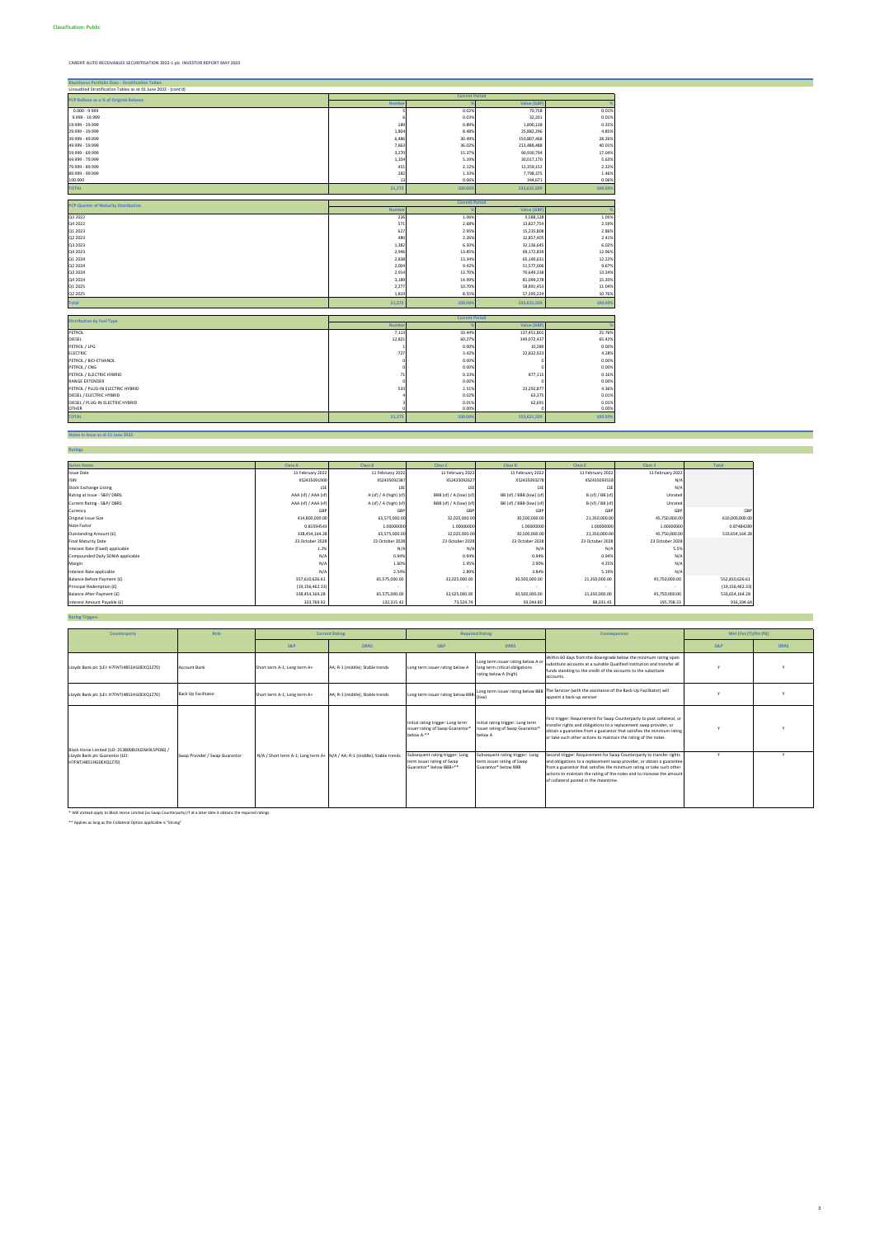**Notes in Issue as at 21 June 2022**

| <b>Blackhorse Portfolio Data - Stratification Tables</b>      |              |                       |                   |         |  |  |
|---------------------------------------------------------------|--------------|-----------------------|-------------------|---------|--|--|
| Unaudited Stratification Tables as at 01 June 2022 - (cont'd) |              |                       |                   |         |  |  |
|                                                               |              | <b>Current Period</b> |                   |         |  |  |
| PCP Balloon as a % of Original Balance                        | <b>Numbe</b> |                       | <b>Value (GBP</b> |         |  |  |
| $0.000 - 9.999$                                               |              | 0.02%                 | 70,758            | 0.01%   |  |  |
| 9.999 - 19.999                                                |              | 0.03%                 | 32,201            | 0.01%   |  |  |
| 19.999 - 29.999                                               | 189          | 0.89%                 | 1,890,138         | 0.35%   |  |  |
| 29.999 - 39.999                                               | 1,804        | 8.48%                 | 25,882,296        | 4.85%   |  |  |
| 39.999 - 49.999                                               | 6,486        | 30.49%                | 150,807,468       | 28.26%  |  |  |
| 49.999 - 59.999                                               | 7,663        | 36.02%                | 213,488,488       | 40.01%  |  |  |
| 59.999 - 69.999                                               | 3,270        | 15.37%                | 90,930,794        | 17.04%  |  |  |
| 69.999 - 79.999                                               | 1,104        | 5.19%                 | 30,017,170        | 5.63%   |  |  |
| 79.999 - 89.999                                               | 451          | 2.12%                 | 12,359,152        | 2.32%   |  |  |
| 89.999 - 99.999                                               | 282          | 1.33%                 | 7,798,375         | 1.46%   |  |  |
| 100.000                                                       | 13           | 0.06%                 | 344,671           | 0.06%   |  |  |
| <b>TOTAL</b>                                                  | 21,273       | 100.009               | 533,621,509       | 100.00% |  |  |
|                                                               |              |                       |                   |         |  |  |
| <b>PCP Quarter of Maturity Distribution</b>                   | <b>Numbe</b> | <b>Current Period</b> | <b>Value (GBP</b> |         |  |  |
| Q3 2022                                                       | 226          | 1.06%                 | 5,588,128         | 1.05%   |  |  |
| Q4 2022                                                       | 571          | 2.68%                 | 13,827,754        | 2.59%   |  |  |
| Q1 2023                                                       | 627          | 2.95%                 | 15,235,808        | 2.86%   |  |  |
| Q2 2023                                                       | 480          | 2.26%                 | 12,857,405        | 2.41%   |  |  |
| Q3 2023                                                       | 1,382        | 6.50%                 | 32,136,645        | 6.02%   |  |  |
| Q4 2023                                                       | 2,946        | 13.85%                | 69,172,839        | 12.96%  |  |  |
| Q1 2024                                                       | 2,838        | 13.34%                | 65,190,631        | 12.22%  |  |  |
| Q2 2024                                                       | 2,004        | 9.42%                 | 51,577,006        | 9.67%   |  |  |
| Q3 2024                                                       | 2,914        | 13.70%                | 70,649,338        | 13.24%  |  |  |
| Q4 2024                                                       | 3,189        | 14.99%                | 81,099,278        | 15.20%  |  |  |
| Q1 2025                                                       | 2,277        | 10.70%                | 58,891,453        | 11.04%  |  |  |
| Q2 2025                                                       | 1,819        | 8.55%                 | 57,395,224        | 10.76%  |  |  |
| <b>Total</b>                                                  | 21,273       | 100.009               | 533,621,509       | 100.00% |  |  |
|                                                               |              |                       |                   |         |  |  |
| <b>Distribution by Fuel Type</b>                              |              | <b>Current Period</b> |                   |         |  |  |
|                                                               | <b>Numbe</b> |                       | <b>Value (GBF</b> |         |  |  |
| PETROL                                                        | 7,113        | 33.44%                | 137,451,801       | 25.76%  |  |  |
| DIESEL                                                        | 12,821       | 60.27%                | 349,072,437       | 65.42%  |  |  |
| PETROL / LPG                                                  |              | 0.00%                 | 10,289            | 0.00%   |  |  |
| <b>ELECTRIC</b>                                               | 727          | 3.42%                 | 22,832,923        | 4.28%   |  |  |
| PETROL / BIO-ETHANOL                                          |              | 0.00%                 |                   | 0.00%   |  |  |
| PETROL / CNG                                                  |              | 0.00%                 |                   | 0.00%   |  |  |
| PETROL / ELECTRIC HYBRID                                      | 71           | 0.33%                 | 877,115           | 0.16%   |  |  |
| RANGE EXTENDER                                                |              | 0.00%                 |                   | 0.00%   |  |  |
| PETROL / PLUG-IN ELECTRIC HYBRID                              | 533          | 2.51%                 | 23,250,877        | 4.36%   |  |  |
| DIESEL / ELECTRIC HYBRID                                      |              | 0.02%                 | 63,375            | 0.01%   |  |  |
| DIESEL / PLUG-IN ELECTRIC HYBRID                              |              | 0.01%                 | 62,691            | 0.01%   |  |  |
| <b>OTHER</b>                                                  |              | 0.00%                 |                   | 0.00%   |  |  |
| <b>TOTAL</b>                                                  | 21,273       | 100.00%               | 533,621,509       | 100.00% |  |  |

| <b>Ratings</b>                    |                     |                        |                         |                          |                  |                  |                   |
|-----------------------------------|---------------------|------------------------|-------------------------|--------------------------|------------------|------------------|-------------------|
|                                   |                     |                        |                         |                          |                  |                  |                   |
| <b>Series Name</b>                | <b>Class A</b>      | <b>Class B</b>         | <b>Class C</b>          | <b>Class D</b>           | <b>Class E</b>   | <b>Class S</b>   | Total             |
| <b>Issue Date</b>                 | 11 February 2022    | 11 February 2022       | 11 February 2022        | 11 February 2022         | 11 February 2022 | 11 February 2022 |                   |
| <b>ISIN</b>                       | XS2435091900        | XS2435092387           | XS2435092627            | XS2435093278             | XS2435093518     | N/               |                   |
| <b>Stock Exchange Listing</b>     | LSE                 | ١S                     | LS                      | <b>LSE</b>               | 1 <sub>SF</sub>  | N/l              |                   |
| Rating at Issue - S&P/DBRS        | AAA (sf) / AAA (sf) | A (sf) / A (high) (sf) | BBB (sf) / A (low) (sf) | BB (sf) / BBB (low) (sf) | B (sf) / BB (sf) | Unrated          |                   |
| Current Rating - S&P/DBRS         | AAA (sf) / AAA (sf) | A (sf) / A (high) (sf) | BBB (sf) / A (low) (sf) | BB (sf) / BBB (low) (sf) | B (sf) / BB (sf) | Unrated          |                   |
| Currency                          | GBP                 | GBF                    | GBP                     | GBF                      | GB               | <b>GB</b>        | GBP               |
| Original Issue Size               | 414,800,000.00      | 65,575,000.00          | 32,025,000.00           | 30,500,000.00            | 21,350,000.00    | 45,750,000.00    | 610,000,000.00    |
| Note Factor                       | 0.81594543          | 1.00000000             | 1.00000000              | 1.00000000               | 1.00000000       | 1.0000000        | 0.87484289        |
| Outstanding Amount (£)            | 338,454,164.28      | 65,575,000.00          | 32,025,000.00           | 30,500,000.00            | 21,350,000.00    | 45,750,000.00    | 533,654,164.28    |
| <b>Final Maturity Date</b>        | 23 October 2028     | 23 October 2028        | 23 October 2028         | 23 October 2028          | 23 October 2028  | 23 October 2028  |                   |
| Interest Rate (Fixed) applicable  | 1.2%                | N/t                    | N/A                     | $N/\rho$                 | N/f              | 5.5%             |                   |
| Compounded Daily SONIA applicable | N/A                 | 0.94%                  | 0.94%                   | 0.94%                    | 0.94%            | N/A              |                   |
| Margin                            | N/A                 | 1.60%                  | 1.95%                   | 2.90%                    | 4.25%            | N/A              |                   |
| Interest Rate applicable          | N/A                 | 2.54%                  | 2.89%                   | 3.84%                    | 5.19%            | N/A              |                   |
| Balance Before Payment (£)        | 357,610,626.61      | 65,575,000.00          | 32,025,000.00           | 30,500,000.00            | 21,350,000.00    | 45,750,000.00    | 552,810,626.61    |
| Principal Redemption (£)          | (19, 156, 462.33)   |                        |                         |                          |                  |                  | (19, 156, 462.33) |
| Balance After Payment (£)         | 338,454,164.28      | 65,575,000.00          | 32,025,000.00           | 30,500,000.00            | 21,350,000.00    | 45,750,000.00    | 533,654,164.28    |
| Interest Amount Payable (£)       | 333,769.92          | 132,315.42             | 73,524.74               | 93,044.80                | 88,031.43        | 195,708.33       | 916,394.64        |

**Rating Triggers**

\* Will instead apply to Black Horse Limited (as Swap Counterparty) if at a later date it obtains the required ratings.

\*\* Applies as long as the Collateral Option applicable is "Strong"

| Counterparty                                                                                                  | Role                           | <b>Current Rating</b>        |                                                                          | <b>Required Rating</b>                                                                   |                                                                                               | <b>Consequences</b>                                                                                                                                                                                                                                                                                                                       | Met (Yes $(Y)/No(N)$ ) |             |
|---------------------------------------------------------------------------------------------------------------|--------------------------------|------------------------------|--------------------------------------------------------------------------|------------------------------------------------------------------------------------------|-----------------------------------------------------------------------------------------------|-------------------------------------------------------------------------------------------------------------------------------------------------------------------------------------------------------------------------------------------------------------------------------------------------------------------------------------------|------------------------|-------------|
|                                                                                                               |                                | <b>S&amp;P</b>               | <b>DBRS</b>                                                              | <b>S&amp;P</b>                                                                           | <b>DBRS</b>                                                                                   |                                                                                                                                                                                                                                                                                                                                           | <b>S&amp;P</b>         | <b>DBRS</b> |
| Lloyds Bank plc (LEI: H7FNTJ4851HG0EXQ1Z70)                                                                   | <b>Account Bank</b>            | Short term A-1; Long term A+ | AA; R-1 (middle); Stable trends                                          | Long term issuer rating below /                                                          | Long term issuer rating below A or<br>long term critical obligations<br>rating below A (high) | Within 60 days from the downgrade below the minimum rating open<br>substitute accounts at a suitable Qualified Institution and transfer all<br>funds standing to the credit of the accounts to the substitute<br>accounts.                                                                                                                |                        |             |
| Lloyds Bank plc (LEI: H7FNTJ4851HG0EXQ1Z70)                                                                   | <b>Back Up Facilitator</b>     | Short term A-1; Long term A+ | AA; R-1 (middle); Stable trends                                          | Long term issuer rating below BBB-                                                       | (low)                                                                                         | Long term issuer rating below BBB The Servicer (with the assistance of the Back-Up Facilitator) will<br>appoint a back-up servicer                                                                                                                                                                                                        |                        |             |
|                                                                                                               |                                |                              |                                                                          | Initial rating trigger: Long term<br>issuer rating of Swap Guarantor<br>below A-**       | Initial rating trigger: Long term<br>issuer rating of Swap Guarantor*<br>below A              | First trigger: Requirement for Swap Counterparty to post collateral, or<br>transfer rights and obligations to a replacement swap provider, or<br>obtain a guarantee from a guarantor that satisfies the minimum rating<br>or take such other actions to maintain the rating of the notes.                                                 |                        |             |
| Black Horse Limited (LEI: 2138008UXJZAK9L5PE86) /<br>Lloyds Bank plc Guarantor (LEI:<br>H7FNTJ4851HG0EXQ1Z70) | Swap Provider / Swap Guarantor |                              | N/A / Short term A-1; Long term A+ N/A / AA; R-1 (middle); Stable trends | Subsequent rating trigger: Long<br>term issuer rating of Swap<br>Guarantor* below BBB+** | Subsequent rating trigger: Long<br>term issuer rating of Swap<br>Guarantor* below BBB         | Second trigger: Requirement for Swap Counterparty to transfer rights<br>and obligations to a replacement swap provider, or obtain a guarantee<br>from a guarantor that satisfies the minimum rating or take such other<br>actions to maintain the rating of the notes and to increase the amount<br>of collateral posted in the meantime. |                        |             |

3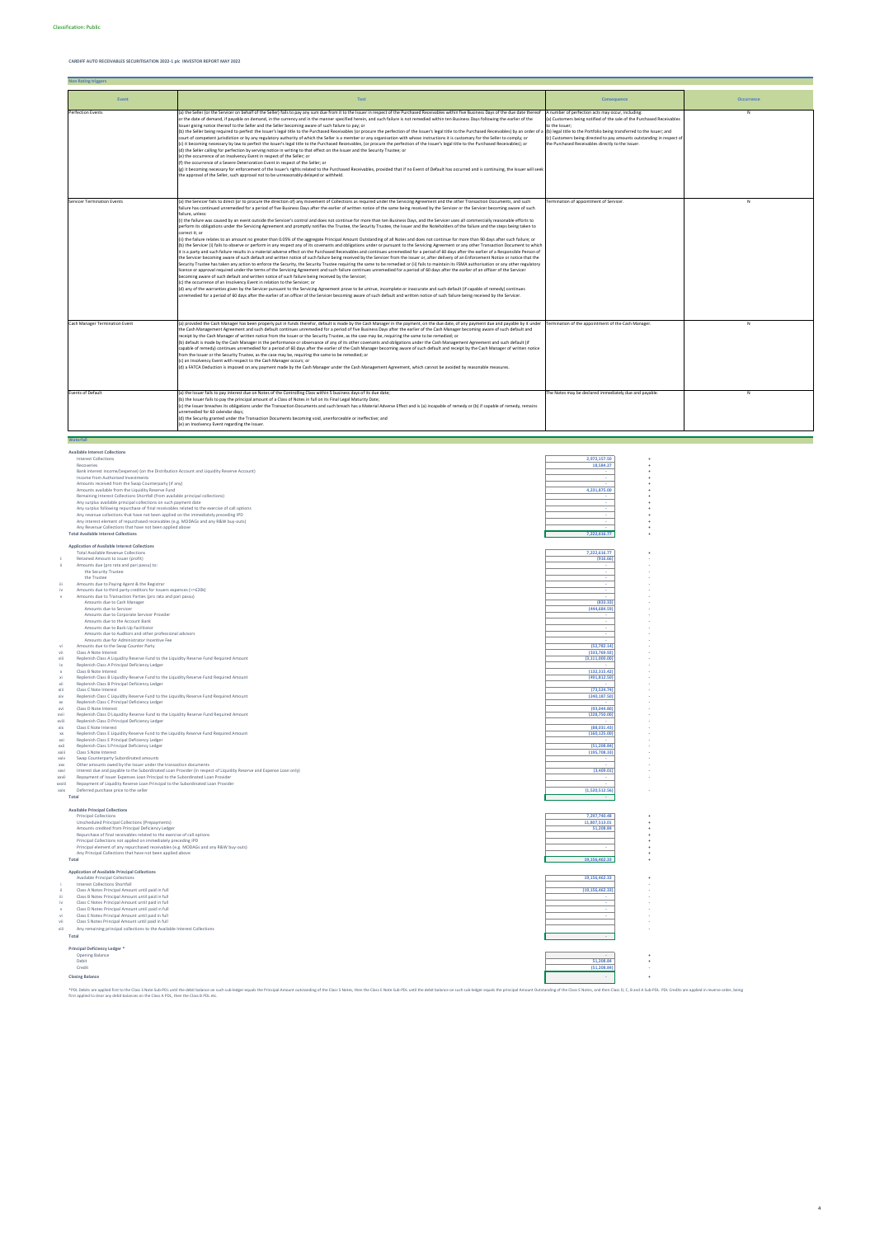**Non Rating triggers**

**Available Interest Collections**

|                     | <b>Interest Collections</b>                                                                                        | 2,972,157.50               |  |
|---------------------|--------------------------------------------------------------------------------------------------------------------|----------------------------|--|
|                     | Recoveries                                                                                                         | 18,584.27                  |  |
|                     | Bank interest income/(expense) (on the Distribution Account and Liquidity Reserve Account)                         |                            |  |
|                     | Income from Authorised Investments                                                                                 |                            |  |
|                     | Amounts received from the Swap Counterparty (if any)                                                               |                            |  |
|                     | Amounts available from the Liquidity Reserve Fund                                                                  | 4.231.875.00               |  |
|                     | Remaining Interest Collections Shortfall (from available principal collections)                                    |                            |  |
|                     | Any surplus available principal collections on such payment date                                                   |                            |  |
|                     | Any surplus following repurchase of final receivables related to the exercise of call options                      |                            |  |
|                     | Any revenue collections that have not been applied on the immediately preceding IPD                                |                            |  |
|                     | Any interest element of repurchased receivables (e.g. MODAGs and any R&W buy-outs)                                 |                            |  |
|                     | Any Revenue Collections that have not been applied above<br><b>Total Available Interest Collections</b>            | 7.222.616.77               |  |
|                     |                                                                                                                    |                            |  |
|                     | <b>Application of Available Interest Collections</b>                                                               |                            |  |
|                     | <b>Total Available Revenue Collections</b>                                                                         | 7.222.616.77               |  |
|                     | Retained Amount to issuer (profit)                                                                                 | (916.66)                   |  |
|                     | Amounts due (pro rata and pari passu) to:                                                                          |                            |  |
|                     | the Security Trustee                                                                                               |                            |  |
|                     | the Trustee                                                                                                        |                            |  |
| iii                 | Amounts due to Paying Agent & the Registrar                                                                        |                            |  |
| iv                  | Amounts due to third party creditors for Issuers expenses (<=£20k)                                                 |                            |  |
|                     | Amounts due to Transaction Parties (pro rata and pari passu)                                                       |                            |  |
|                     | Amounts due to Cash Manager                                                                                        | (833.33)                   |  |
|                     | Amounts due to Servicer                                                                                            | (444, 684.59)              |  |
|                     | Amounts due to Corporate Servicer Provider                                                                         |                            |  |
|                     | Amounts due to the Account Bank                                                                                    |                            |  |
|                     | Amounts due to Back-Up Facilitator<br>Amounts due to Auditors and other professional advisors                      |                            |  |
|                     | Amounts due for Administrator Incentive Fee                                                                        |                            |  |
| vi                  | Amounts due to the Swap Counter Party                                                                              | (52, 782.14)               |  |
| vii                 | Class A Note Interest                                                                                              | (333,769.92)               |  |
| viii                | Replenish Class A Liquidity Reserve Fund to the Liquidity Reserve Fund Required Amount                             | (3, 111, 000.00)           |  |
| ix                  | Replenish Class A Principal Deficiency Ledger                                                                      |                            |  |
|                     | Class B Note Interest                                                                                              | (132.315.42)               |  |
| xi                  | Replenish Class B Liquidity Reserve Fund to the Liquidity Reserve Fund Required Amount                             | (491, 812.50)              |  |
| xii                 | Replenish Class B Principal Deficiency Ledger                                                                      |                            |  |
| xiii                | Class C Note Interest                                                                                              | (73,524.74)                |  |
| xiv                 | Replenish Class C Liquidity Reserve Fund to the Liquidity Reserve Fund Required Amount                             | (240, 187.50)              |  |
| <b>XV</b>           | Replenish Class C Principal Deficiency Ledger                                                                      |                            |  |
| xvi                 | Class D Note Interest                                                                                              | (93.044.80)                |  |
| xvii                | Replenish Class D Liquidity Reserve Fund to the Liquidity Reserve Fund Required Amount                             | (228,750.00)               |  |
| xviii               | Replenish Class D Principal Deficiency Ledger<br>Class E Note Interest                                             | (88,031.43)                |  |
| xix<br>XX           | Replenish Class E Liquidity Reserve Fund to the Liquidity Reserve Fund Required Amount                             | (160, 125.00)              |  |
| xxi                 | Replenish Class E Principal Deficiency Ledger                                                                      |                            |  |
| xxii                | Replenish Class S Principal Deficiency Ledger                                                                      | (51.208.84)                |  |
| xxiii               | Class S Note Interest                                                                                              | (195, 708.33)              |  |
| xxiv                | Swap Counterparty Subordinated amounts                                                                             |                            |  |
| <b>XXV</b>          | Other amounts owed by the Issuer under the transaction documents                                                   |                            |  |
| xxvi                | Interest due and payable to the Subordinated Loan Provider (in respect of Liquidity Reserve and Expense Loan only) | (3,409.01)                 |  |
| xxvii               | Repayment of Issuer Expenses Loan Principal to the Subordinated Loan Provider                                      |                            |  |
| xxviii              | Repayment of Liquidity Reserve Loan Principal to the Subordinated Loan Provider                                    |                            |  |
| xxix                | Deferred purchase price to the seller                                                                              | (1,520,512.56)             |  |
|                     | Total                                                                                                              |                            |  |
|                     |                                                                                                                    |                            |  |
|                     | <b>Available Principal Collections</b>                                                                             |                            |  |
|                     | <b>Principal Collections</b>                                                                                       | 7,297,740.48               |  |
|                     | Unscheduled Principal Collections (Prepayments)<br>Amounts credited from Principal Deficiency Ledger               | 11,807,513.01<br>51,208.84 |  |
|                     | Repurchase of final receivables related to the exercise of call options                                            |                            |  |
|                     | Principal Collections not applied on immediately preceding IPD                                                     |                            |  |
|                     | Principal element of any repurchased receivables (e.g. MODAGs and any R&W buy-outs)                                |                            |  |
|                     | Any Principal Collections that have not been applied above                                                         |                            |  |
|                     | Total                                                                                                              | 19,156,462.33              |  |
|                     |                                                                                                                    |                            |  |
|                     | <b>Application of Available Principal Collections</b>                                                              |                            |  |
|                     | <b>Available Principal Collections</b>                                                                             | 19,156,462.33              |  |
|                     | <b>Interest Collections Shortfall</b>                                                                              |                            |  |
| -ii                 | Class A Notes Principal Amount until paid in full                                                                  | (19, 156, 462.33)          |  |
| iii                 | Class B Notes Principal Amount until paid in full                                                                  |                            |  |
| iv<br>$\mathcal{M}$ | Class C Notes Principal Amount until paid in full<br>Class D Notes Principal Amount until paid in full             |                            |  |
| vi                  | Class E Notes Principal Amount until paid in full                                                                  |                            |  |
| vii                 | Class S Notes Principal Amount until paid in full                                                                  |                            |  |
|                     |                                                                                                                    |                            |  |

| .    |                                                                           |           |  |
|------|---------------------------------------------------------------------------|-----------|--|
| viii | Any remaining principal collections to the Available Interest Collections |           |  |
|      | Total                                                                     |           |  |
|      | Principal Deficiency Ledger *                                             |           |  |
|      | Opening Balance                                                           |           |  |
|      | Debit                                                                     | 51,208.84 |  |

| .                      | -----------  |  |
|------------------------|--------------|--|
| Credit                 | (51, 208.84) |  |
| <b>Closing Balance</b> |              |  |
|                        |              |  |

such sub-ledger equals the Principal Amount outstanding of the Class S Notes, then the Class E Note Sub-PDL until the debit balance on such sub-ledger equals the principal Amount Outstanding of the Class E Notes, and then \*PDL Debits are applied first to the Class S Note Sub-PDL until the debit balance on su<br>first applied to clear any debit balances on the Class A PDL, then the Class B PDL etc.

| Event                              | <b>Test</b>                                                                                                                                                                                                                                                                                                                                                                                                                                                                                                                                                                                                                                                                                                                                                                                                                                                                                                                                                                                                                                                                                                                                                                                                                                                                                                                                                                                                                                                                                                                                                                                                                                                                                                                                                                                                                                                                                                                                                                                                                                                                                                                                                                                                                                                                                                                                                                                                                                                                                                                                                                  | Consequence                                                                                                                                                                                                                                                                                                                                         | <b>Occurrence</b> |
|------------------------------------|------------------------------------------------------------------------------------------------------------------------------------------------------------------------------------------------------------------------------------------------------------------------------------------------------------------------------------------------------------------------------------------------------------------------------------------------------------------------------------------------------------------------------------------------------------------------------------------------------------------------------------------------------------------------------------------------------------------------------------------------------------------------------------------------------------------------------------------------------------------------------------------------------------------------------------------------------------------------------------------------------------------------------------------------------------------------------------------------------------------------------------------------------------------------------------------------------------------------------------------------------------------------------------------------------------------------------------------------------------------------------------------------------------------------------------------------------------------------------------------------------------------------------------------------------------------------------------------------------------------------------------------------------------------------------------------------------------------------------------------------------------------------------------------------------------------------------------------------------------------------------------------------------------------------------------------------------------------------------------------------------------------------------------------------------------------------------------------------------------------------------------------------------------------------------------------------------------------------------------------------------------------------------------------------------------------------------------------------------------------------------------------------------------------------------------------------------------------------------------------------------------------------------------------------------------------------------|-----------------------------------------------------------------------------------------------------------------------------------------------------------------------------------------------------------------------------------------------------------------------------------------------------------------------------------------------------|-------------------|
| <b>Perfection Events</b>           | (a) the Seller (or the Servicer on behalf of the Seller) fails to pay any sum due from it to the Issuer in respect of the Purchased Receivables within five Business Days of the due date thereof<br>or the date of demand, if payable on demand, in the currency and in the manner specified herein, and such failure is not remedied within ten Business Days following the earlier of the<br>Issuer giving notice thereof to the Seller and the Seller becoming aware of such failure to pay; or<br>(b) the Seller being required to perfect the Issuer's legal title to the Purchased Receivables (or procure the perfection of the Issuer's legal title to the Purchased Receivables) by an order of<br>court of competent jurisdiction or by any regulatory authority of which the Seller is a member or any organisation with whose instructions it is customary for the Seller to comply; or<br>(c) it becoming necessary by law to perfect the Issuer's legal title to the Purchased Receivables, (or procure the perfection of the Issuer's legal title to the Purchased Receivables); or<br>(d) the Seller calling for perfection by serving notice in writing to that effect on the Issuer and the Security Trustee; or<br>(e) the occurrence of an Insolvency Event in respect of the Seller; or<br>(f) the occurrence of a Severe Deterioration Event in respect of the Seller; or<br>(g) it becoming necessary for enforcement of the Issuer's rights related to the Purchased Receivables, provided that if no Event of Default has occurred and is continuing, the Issuer will seek<br>the approval of the Seller, such approval not to be unreasonably delayed or withheld.                                                                                                                                                                                                                                                                                                                                                                                                                                                                                                                                                                                                                                                                                                                                                                                                                                                                                | A number of perfection acts may occur, including:<br>(a) Customers being notified of the sale of the Purchased Receivables<br>to the Issuer;<br>(b) legal title to the Portfolio being transferred to the Issuer; and<br>(c) Customers being directed to pay amounts outstanding in respect of<br>the Purchased Receivables directly to the Issuer. | N                 |
| <b>Servicer Termination Events</b> | (a) the Servicer fails to direct (or to procure the direction of) any movement of Collections as required under the Servicing Agreement and the other Transaction Documents, and such<br>failure has continued unremedied for a period of five Business Days after the earlier of written notice of the same being received by the Servicer or the Servicer becoming aware of such<br>failure, unless:<br>(i) the failure was caused by an event outside the Servicer's control and does not continue for more than ten Business Days, and the Servicer uses all commercially reasonable efforts to<br>perform its obligations under the Servicing Agreement and promptly notifies the Trustee, the Security Trustee, the Issuer and the Noteholders of the failure and the steps being taken to<br>correct it: or<br>(ii) the failure relates to an amount no greater than 0.05% of the aggregate Principal Amount Outstanding of all Notes and does not continue for more than 90 days after such failure; or<br>(b) the Servicer (i) fails to observe or perform in any respect any of its covenants and obligations under or pursuant to the Servicing Agreement or any other Transaction Document to which<br>it is a party and such failure results in a material adverse effect on the Purchased Receivables and continues unremedied for a period of 60 days after the earlier of a Responsible Person of<br>the Servicer becoming aware of such default and written notice of such failure being received by the Servicer from the Issuer or, after delivery of an Enforcement Notice or notice that the<br>Security Trustee has taken any action to enforce the Security, the Security Trustee requiring the same to be remedied or (ii) fails to maintain its FSMA authorisation or any other regulatory<br>licence or approval required under the terms of the Servicing Agreement and such failure continues unremedied for a period of 60 days after the earlier of an officer of the Servicer<br>becoming aware of such default and written notice of such failure being received by the Servicer;<br>(c) the occurrence of an Insolvency Event in relation to the Servicer; or<br>(d) any of the warranties given by the Servicer pursuant to the Servicing Agreement prove to be untrue, incomplete or inaccurate and such default (if capable of remedy) continues<br>unremedied for a period of 60 days after the earlier of an officer of the Servicer becoming aware of such default and written notice of such failure being received by the Servicer. | Termination of appointment of Servicer.                                                                                                                                                                                                                                                                                                             | N                 |
| Cash Manager Termination Event     | (a) provided the Cash Manager has been properly put in funds therefor, default is made by the Cash Manager in the payment, on the due date, of any payment due and payable by it under<br>the Cash Management Agreement and such default continues unremedied for a period of five Business Days after the earlier of the Cash Manager becoming aware of such default and<br>receipt by the Cash Manager of written notice from the Issuer or the Security Trustee, as the case may be, requiring the same to be remedied; or<br>(b) default is made by the Cash Manager in the performance or observance of any of its other covenants and obligations under the Cash Management Agreement and such default (if<br>capable of remedy) continues unremedied for a period of 60 days after the earlier of the Cash Manager becoming aware of such default and receipt by the Cash Manager of written notice<br>from the Issuer or the Security Trustee, as the case may be, requiring the same to be remedied; or<br>(c) an Insolvency Event with respect to the Cash Manager occurs; or<br>(d) a FATCA Deduction is imposed on any payment made by the Cash Manager under the Cash Management Agreement, which cannot be avoided by reasonable measures.                                                                                                                                                                                                                                                                                                                                                                                                                                                                                                                                                                                                                                                                                                                                                                                                                                                                                                                                                                                                                                                                                                                                                                                                                                                                                                                     | Termination of the appointment of the Cash Manager.                                                                                                                                                                                                                                                                                                 | N                 |
| <b>Events of Default</b>           | (a) the Issuer fails to pay interest due on Notes of the Controlling Class within 5 business days of its due date;<br>(b) the Issuer fails to pay the principal amount of a Class of Notes in full on its Final Legal Maturity Date;<br>(c) the Issuer breaches its obligations under the Transaction Documents and such breach has a Material Adverse Effect and is (a) incapable of remedy or (b) if capable of remedy, remains<br>unremedied for 60 calendar days;<br>(d) the Security granted under the Transaction Documents becoming void, unenforceable or ineffective; and<br>(e) an Insolvency Event regarding the Issuer.                                                                                                                                                                                                                                                                                                                                                                                                                                                                                                                                                                                                                                                                                                                                                                                                                                                                                                                                                                                                                                                                                                                                                                                                                                                                                                                                                                                                                                                                                                                                                                                                                                                                                                                                                                                                                                                                                                                                          | The Notes may be declared immediately due and payable.                                                                                                                                                                                                                                                                                              | N                 |
| Waterfall                          |                                                                                                                                                                                                                                                                                                                                                                                                                                                                                                                                                                                                                                                                                                                                                                                                                                                                                                                                                                                                                                                                                                                                                                                                                                                                                                                                                                                                                                                                                                                                                                                                                                                                                                                                                                                                                                                                                                                                                                                                                                                                                                                                                                                                                                                                                                                                                                                                                                                                                                                                                                              |                                                                                                                                                                                                                                                                                                                                                     |                   |